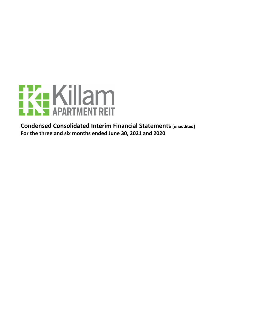

**Condensed Consolidated Interim Financial Statements [unaudited]** For the three and six months ended June 30, 2021 and 2020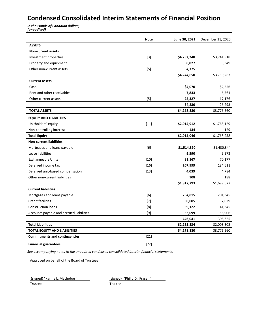# **Condensed Consolidated Interim Statements of Financial Position**

**In thousands of Canadian dollars,** *[unaudited]*

|                                          | <b>Note</b> | June 30, 2021 | December 31, 2020 |
|------------------------------------------|-------------|---------------|-------------------|
| <b>ASSETS</b>                            |             |               |                   |
| <b>Non-current assets</b>                |             |               |                   |
| Investment properties                    | $[3]$       | \$4,232,248   | \$3,741,918       |
| Property and equipment                   |             | 8,027         | 8,349             |
| Other non-current assets                 | $[5]$       | 4,375         |                   |
|                                          |             | \$4,244,650   | \$3,750,267       |
| <b>Current assets</b>                    |             |               |                   |
| Cash                                     |             | \$4,070       | \$2,556           |
| Rent and other receivables               |             | 7,833         | 6,561             |
| Other current assets                     | $[5]$       | 22,327        | 17,176            |
|                                          |             | 34,230        | 26,293            |
| <b>TOTAL ASSETS</b>                      |             | \$4,278,880   | \$3,776,560       |
| <b>EQUITY AND LIABILITIES</b>            |             |               |                   |
| Unitholders' equity                      | $[11]$      | \$2,014,912   | \$1,768,129       |
| Non-controlling interest                 |             | 134           | 129               |
| <b>Total Equity</b>                      |             | \$2,015,046   | \$1,768,258       |
| <b>Non-current liabilities</b>           |             |               |                   |
| Mortgages and loans payable              | [6]         | \$1,514,890   | \$1,430,344       |
| Lease liabilities                        |             | 9,590         | 9,573             |
| <b>Exchangeable Units</b>                | $[10]$      | 81,167        | 70,177            |
| Deferred income tax                      | $[16]$      | 207,999       | 184,611           |
| Deferred unit-based compensation         | $[13]$      | 4,039         | 4,784             |
| Other non-current liabilities            |             | 108           | 188               |
|                                          |             | \$1,817,793   | \$1,699,677       |
| <b>Current liabilities</b>               |             |               |                   |
| Mortgages and loans payable              | [6]         | 294,815       | 201,345           |
| <b>Credit facilities</b>                 | $[7]$       | 30,005        | 7,029             |
| <b>Construction loans</b>                | [8]         | 59,122        | 41,345            |
| Accounts payable and accrued liabilities | $[9]$       | 62,099        | 58,906            |
|                                          |             | 446,041       | 308,625           |
| <b>Total Liabilities</b>                 |             | \$2,263,834   | \$2,008,302       |
| <b>TOTAL EQUITY AND LIABILITIES</b>      |             | \$4,278,880   | \$3,776,560       |
| <b>Commitments and contingencies</b>     | $[21]$      |               |                   |
| <b>Financial guarantees</b>              | $[22]$      |               |                   |

See accompanying notes to the unaudited condensed consolidated interim financial statements.

Approved on behalf of the Board of Trustees

(signed) "Karine L. MacIndoe " [signed) "Philip D. Fraser"

Trustee Trustee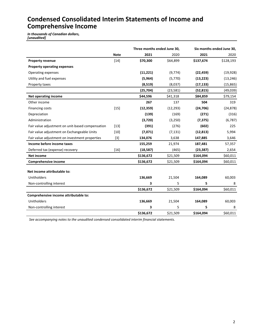## **Condensed Consolidated Interim Statements of Income and Comprehensive Income**

*In thousands of Canadian dollars, [unaudited]*

| Three months ended June 30, |           |                                           |                                         | Six months ended June 30,                  |
|-----------------------------|-----------|-------------------------------------------|-----------------------------------------|--------------------------------------------|
| <b>Note</b>                 | 2021      | 2020                                      | 2021                                    | 2020                                       |
| $[14]$                      | \$70,300  | \$64,899                                  | \$137,674                               | \$128,193                                  |
|                             |           |                                           |                                         |                                            |
|                             | (11, 221) | (9,774)                                   | (22, 459)                               | (19, 928)                                  |
|                             | (5,964)   | (5,770)                                   | (13, 223)                               | (13, 246)                                  |
|                             | (8, 519)  | (8,037)                                   | (17, 133)                               | (15, 865)                                  |
|                             | (25, 704) | (23,581)                                  | (52, 815)                               | (49,039)                                   |
|                             | \$44,596  | \$41,318                                  | \$84,859                                | \$79,154                                   |
|                             | 267       | 137                                       | 504                                     | 319                                        |
| $[15]$                      | (12, 359) | (12, 293)                                 | (24, 706)                               | (24, 878)                                  |
|                             | (139)     | (169)                                     | (271)                                   | (316)                                      |
|                             | (3,720)   | (3,250)                                   | (7, 375)                                | (6, 787)                                   |
| $[13]$                      | (391)     | (276)                                     | (602)                                   | 225                                        |
| [10]                        | (7,071)   | (7, 131)                                  | (12, 813)                               | 5,994                                      |
| $[3]$                       | 134,076   | 3,638                                     | 147,885                                 | 3,646                                      |
|                             | 155,259   | 21,974                                    | 187,481                                 | 57,357                                     |
| $[16]$                      | (18, 587) | (465)                                     | (23, 387)                               | 2,654                                      |
|                             | \$136,672 | \$21,509                                  | \$164,094                               | \$60,011                                   |
|                             | \$136,672 | \$21,509                                  | \$164,094                               | \$60,011                                   |
|                             |           |                                           |                                         |                                            |
|                             |           |                                           |                                         | 60,003                                     |
|                             |           |                                           |                                         | 8                                          |
|                             |           |                                           |                                         | \$60,011                                   |
|                             |           |                                           |                                         |                                            |
|                             |           |                                           |                                         | 60,003                                     |
|                             |           |                                           |                                         | 8                                          |
|                             | \$136,672 | \$21,509                                  | \$164,094                               | \$60,011                                   |
|                             |           | 136,669<br>3<br>\$136,672<br>136,669<br>3 | 21,504<br>5<br>\$21,509<br>21,504<br>5. | 164,089<br>5<br>\$164,094<br>164,089<br>5. |

See accompanying notes to the unaudited condensed consolidated interim financial statements.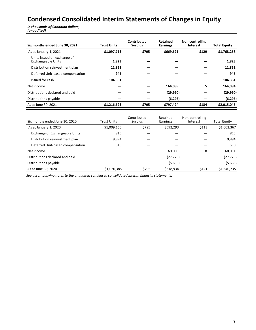# **Condensed Consolidated Interim Statements of Changes in Equity**

*In thousands of Canadian dollars, [unaudited]*

| Six months ended June 30, 2021                           | <b>Trust Units</b> | Contributed<br><b>Surplus</b> | Retained<br><b>Earnings</b> | Non-controlling<br><b>Interest</b> | <b>Total Equity</b> |
|----------------------------------------------------------|--------------------|-------------------------------|-----------------------------|------------------------------------|---------------------|
| As at January 1, 2021                                    | \$1,097,713        | \$795                         | \$669,621                   | \$129                              | \$1,768,258         |
| Units issued on exchange of<br><b>Exchangeable Units</b> | 1,823              |                               |                             |                                    | 1,823               |
| Distribution reinvestment plan                           | 11,851             |                               |                             |                                    | 11,851              |
| Deferred Unit-based compensation                         | 945                |                               |                             |                                    | 945                 |
| Issued for cash                                          | 104.361            |                               |                             |                                    | 104,361             |
| Net income                                               |                    |                               | 164.089                     | 5                                  | 164,094             |
| Distributions declared and paid                          |                    |                               | (29,990)                    |                                    | (29,990)            |
| Distributions payable                                    |                    |                               | (6, 296)                    |                                    | (6, 296)            |
| As at June 30, 2021                                      | \$1,216,693        | \$795                         | \$797,424                   | \$134                              | \$2,015,046         |

| Six months ended June 30, 2020   | <b>Trust Units</b> | Contributed<br><b>Surplus</b> | Retained<br>Earnings | Non-controlling<br>Interest | <b>Total Equity</b> |
|----------------------------------|--------------------|-------------------------------|----------------------|-----------------------------|---------------------|
| As at January 1, 2020            | \$1,009,166        | \$795                         | \$592,293            | \$113                       | \$1,602,367         |
| Exchange of Exchangeable Units   | 815                |                               |                      |                             | 815                 |
| Distribution reinvestment plan   | 9,894              |                               |                      |                             | 9,894               |
| Deferred Unit-based compensation | 510                |                               |                      |                             | 510                 |
| Net income                       |                    |                               | 60.003               | 8                           | 60,011              |
| Distributions declared and paid  |                    |                               | (27, 729)            |                             | (27, 729)           |
| Distributions payable            |                    |                               | (5,633)              |                             | (5,633)             |
| As at June 30, 2020              | \$1,020,385        | \$795                         | \$618,934            | \$121                       | \$1,640,235         |

See accompanying notes to the unaudited condensed consolidated interim financial statements.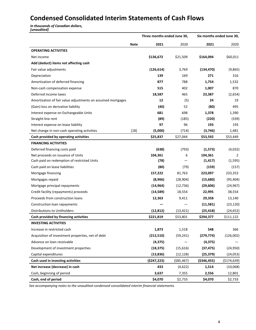# **Condensed Consolidated Interim Statements of Cash Flows**

*In thousands of Canadian dollars, [unaudited]*

|                                                             |             | Three months ended June 30, |             | Six months ended June 30, |               |  |
|-------------------------------------------------------------|-------------|-----------------------------|-------------|---------------------------|---------------|--|
|                                                             | <b>Note</b> | 2021                        | 2020        | 2021                      | 2020          |  |
| <b>OPERATING ACTIVITIES</b>                                 |             |                             |             |                           |               |  |
| Net income                                                  |             | \$136,672                   | \$21,509    | \$164,094                 | \$60,011      |  |
| Add (deduct) items not affecting cash                       |             |                             |             |                           |               |  |
| Fair value adjustments                                      |             | (126, 614)                  | 3,769       | (134, 470)                | (9,865)       |  |
| Depreciation                                                |             | 139                         | 169         | 271                       | 316           |  |
| Amortization of deferred financing                          |             | 877                         | 788         | 1,754                     | 1,532         |  |
| Non-cash compensation expense                               |             | 515                         | 402         | 1,007                     | 870           |  |
| Deferred income taxes                                       |             | 18,587                      | 465         | 23,387                    | (2,654)       |  |
| Amortization of fair value adjustments on assumed mortgages |             | 12                          | (5)         | 24                        | 19            |  |
| (Gain) loss on derivative liability                         |             | (40)                        | 52          | (80)                      | 495           |  |
| Interest expense on Exchangeable Units                      |             | 681                         | 698         | 1,378                     | 1,390         |  |
| Straight-line rent                                          |             | (89)                        | (185)       | (220)                     | (339)         |  |
| Interest expense on lease liability                         |             | 97                          | 96          | 193                       | 193           |  |
| Net change in non-cash operating activities                 | $[18]$      | (5,000)                     | (714)       | (3,746)                   | 1,481         |  |
| Cash provided by operating activities                       |             | \$25,837                    | \$27,044    | \$53,592                  | \$53,449      |  |
| <b>FINANCING ACTIVITIES</b>                                 |             |                             |             |                           |               |  |
| Deferred financing costs paid                               |             | (638)                       | (793)       | (1, 573)                  | (4,032)       |  |
| Net proceeds on issuance of Units                           |             | 104,361                     | 6           | 104,361                   | 2             |  |
| Cash paid on redemption of restricted Units                 |             | (78)                        |             | (1, 417)                  | (1, 595)      |  |
| Cash paid on lease liabilities                              |             | (80)                        | (79)        | (159)                     | (157)         |  |
| Mortgage financing                                          |             | 157,222                     | 81,763      | 223,097                   | 233,353       |  |
| Mortgages repaid                                            |             | (8,966)                     | (28, 904)   | (15,680)                  | (95, 404)     |  |
| Mortgage principal repayments                               |             | (14, 964)                   | (12, 736)   | (29, 606)                 | (24, 967)     |  |
| Credit facility (repayments) proceeds                       |             | (14, 589)                   | 18,554      | 22,995                    | 38,554        |  |
| Proceeds from construction loans                            |             | 12,363                      | 9,411       | 29,358                    | 13,140        |  |
| Construction loan repayments                                |             |                             |             | (11,581)                  | (23, 120)     |  |
| Distributions to Unitholders                                |             | (12, 812)                   | (13, 421)   | (25, 418)                 | (24, 652)     |  |
| Cash provided by financing activities                       |             | \$221,819                   | \$53,801    | \$294,377                 | \$111,122     |  |
| <b>INVESTING ACTIVITIES</b>                                 |             |                             |             |                           |               |  |
| Increase in restricted cash                                 |             | 1,873                       | 1,518       | 548                       | 366           |  |
| Acquisition of investment properties, net of debt           |             | (212, 510)                  | (59, 241)   | (279, 774)                | (126,002)     |  |
| Advance on loan receivable                                  |             | (4, 375)                    |             | (4, 375)                  |               |  |
| Development of investment properties                        |             | (18, 375)                   | (15, 616)   | (37, 475)                 | (24, 950)     |  |
| Capital expenditures                                        |             | (13, 836)                   | (12, 128)   | (25, 379)                 | (24, 053)     |  |
| Cash used in investing activities                           |             | (5247, 223)                 | ( \$85,467) | ( \$346, 455)             | ( \$174, 639) |  |
| Net increase (decrease) in cash                             |             | 433                         | (4,622)     | 1,514                     | (10,068)      |  |
| Cash, beginning of period                                   |             | 3,637                       | 7,355       | 2,556                     | 12,801        |  |
| Cash, end of period                                         |             | \$4,070                     | \$2,733     | \$4,070                   | \$2,733       |  |

See accompanying notes to the unaudited condensed consolidated interim financial statements.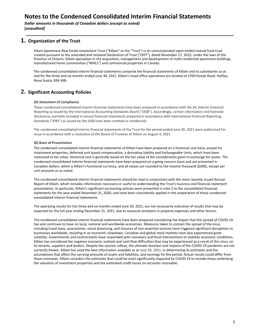**Dollar amounts in thousands of Canadian dollars (except as noted)** *[unaudited]*

### **1. Organization of the Trust**

Killam Apartment Real Estate Investment Trust ("Killam" or the "Trust") is an unincorporated open-ended mutual fund trust created pursuant to the amended and restated Declaration of Trust ("DOT"), dated November 27, 2015, under the laws of the Province of Ontario. Killam specializes in the acquisition, management and development of multi-residential apartment buildings, manufactured home communities ("MHCs") and commercial properties in Canada.

The condensed consolidated interim financial statements comprise the financial statements of Killam and its subsidiaries as at and for the three and six months ended June 30, 2021. Killam's head office operations are located at 3700 Kempt Road, Halifax, Nova Scotia, B3K 4X8.

### **2.** Significant Accounting Policies

#### **(A) Statement of Compliance**

These condensed consolidated interim financial statements have been prepared in accordance with IAS 34, *Interim Financial Reporting* as issued by the International Accounting Standards Board ("IASB"). Accordingly, certain information and footnote disclosures normally included in annual financial statements prepared in accordance with International Financial Reporting Standards ("IFRS") as issued by the IASB have been omitted or condensed.

The condensed consolidated interim financial statements of the Trust for the period ended June 30, 2021 were authorized for issue in accordance with a resolution of the Board of Trustees of Killam on August 4, 2021.

#### **(B) Basis of Presentation**

The condensed consolidated interim financial statements of Killam have been prepared on a historical cost basis, except for investment properties, deferred unit-based compensation, a derivative liability and Exchangeable Units, which have been measured at fair value. Historical cost is generally based on the fair value of the consideration given in exchange for assets. The condensed consolidated interim financial statements have been prepared on a going concern basis and are presented in Canadian dollars, which is Killam's functional currency, and all values are rounded to the nearest thousand (\$000), except per unit amounts or as noted.

The condensed consolidated interim financial statements should be read in conjunction with the most recently issued Annual Report of Killam, which includes information necessary or useful to understanding the Trust's business and financial statement presentation. In particular, Killam's significant accounting policies were presented in note 2 to the consolidated financial statements for the year ended December 31, 2020, and have been consistently applied in the preparation of these condensed consolidated interim financial statements.

The operating results for the three and six months ended June 30, 2021, are not necessarily indicative of results that may be expected for the full year ending December 31, 2021, due to seasonal variations in property expenses and other factors.

The condensed consolidated interim financial statements have been prepared considering the impact that the spread of COVID-19 has and continues to have on local, national and worldwide economies. Measures taken to contain the spread of the virus, including travel bans, quarantines, social distancing, and closures of non-essential services have triggered significant disruptions to businesses worldwide, resulting in an economic slowdown. Canadian and global stock markets have also experienced great volatility. Governments and central banks have responded with monetary and fiscal interventions to stabilize economic conditions. Killam has considered the negative economic outlook and cash flow difficulties that may be experienced as a result of this virus, on its tenants, suppliers and lenders. Despite the vaccine rollout, the ultimate duration and impacts of the COVID-19 pandemic are not currently known. Killam has used the best information available as at June 30, 2021, in determining its estimates and the assumptions that affect the carrying amounts of assets and liabilities, and earnings for the period. Actual results could differ from those estimates. Killam considers the estimates that could be most significantly impacted by COVID-19 to include those underlying the valuation of investment properties and the estimated credit losses on accounts receivable.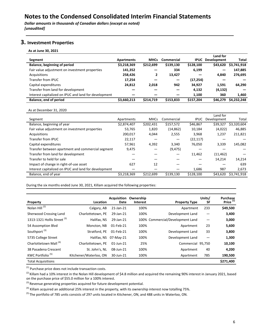**Dollar amounts in thousands of Canadian dollars (except as noted)** *[unaudited]*

### **3.** Investment Properties

**As at June 30, 2021**

|                                                       |                   |             |            |             | Land for           |              |
|-------------------------------------------------------|-------------------|-------------|------------|-------------|--------------------|--------------|
| Segment                                               | <b>Apartments</b> | <b>MHCs</b> | Commercial | <b>IPUC</b> | <b>Development</b> | <b>Total</b> |
| Balance, beginning of period                          | \$3,218,369       | \$212,699   | \$139.130  | \$128,100   | \$43,620           | \$3,741,918  |
| Fair value adjustment on investment properties        | 141,352           |             | 334        | 6,199       |                    | 147,885      |
| Acquisitions                                          | 258,426           | 2           | 13,427     |             | 4.840              | 276,695      |
| Transfer from IPUC                                    | 17,254            |             |            | (17, 254)   |                    |              |
| Capital expenditures                                  | 24,812            | 2,018       | 942        | 34,927      | 1.591              | 64,290       |
| Transfer from land for development                    |                   |             |            | 4,132       | (4, 132)           |              |
| Interest capitalized on IPUC and land for development |                   |             |            | 1.100       | 360                | 1.460        |
| Balance, end of period                                | \$3,660,213       | \$214,719   | \$153,833  | \$157,204   | \$46,279           | \$4,232,248  |

As at December 31, 2020

|                                                       |             |             |            |             | Land for    |             |
|-------------------------------------------------------|-------------|-------------|------------|-------------|-------------|-------------|
| Segment                                               | Apartments  | <b>MHCs</b> | Commercial | <b>IPUC</b> | Development | Total       |
| Balance, beginning of year                            | \$2,874,407 | \$202,431   | \$157,572  | \$46,867    | \$39,327    | \$3,320,604 |
| Fair value adjustment on investment properties        | 53,765      | 1,820       | (14, 862)  | 10,184      | (4,022)     | 46,885      |
| Acquisitions                                          | 200,017     | 4,044       | 2,555      | 3.968       | 1,237       | 211,821     |
| Transfer from IPUC                                    | 22,117      |             |            | (22,117)    |             |             |
| Capital expenditures                                  | 57.961      | 4,392       | 3,340      | 76.050      | 3,339       | 145,082     |
| Transfer between apartment and commercial segment     | 9,475       |             | (9, 475)   |             |             |             |
| Transfer from land for development                    |             |             |            | 11,462      | (11, 462)   |             |
| Transfer to held for sale                             |             |             |            |             | 14,214      | 14,214      |
| Impact of change in right-of-use asset                | 627         | 12          |            |             |             | 639         |
| Interest capitalized on IPUC and land for development |             |             |            | 1,686       | 987         | 2,673       |
| Balance, end of year                                  | \$3,218,369 | \$212,699   | \$139.130  | \$128,100   | \$43.620    | \$3,741,918 |

During the six months ended June 30, 2021, Killam acquired the following properties:

| Property                               | Location               | Acquisition<br>Date | Ownership<br><b>Interest</b> | <b>Property Type</b>             | Units/<br><b>SF</b> | Purchase<br>Price $(i)$ |
|----------------------------------------|------------------------|---------------------|------------------------------|----------------------------------|---------------------|-------------------------|
| Nolan Hill <sup>(2)</sup>              | Calgary, AB            | 21-Jan-21           | 100%                         | Apartment                        | 233                 | \$49,500                |
| Sherwood Crossing Land                 | Charlottetown, PE      | 29-Jan-21           | 100%                         | Development Land                 |                     | 3,400                   |
| 1313-1321 Hollis Street <sup>(3)</sup> | Halifax, NS            | 29-Jan-21           |                              | 100% Commercial/Development Land |                     | 3,000                   |
| 54 Assomption Blvd                     | Moncton, NB            | 01-Feb-21           | 100%                         | Apartment                        | 23                  | 5,600                   |
| Southport <sup>(3)</sup>               | Stratford, PE          | 01-Feb-21           | 100%                         | Development Land                 | 33                  | 3,800                   |
| 5735 College Street                    | Halifax, NS            | 07-May-21           | 100%                         | Development Land                 |                     | 1,300                   |
| Charlottetown Mall <sup>(4)</sup>      | Charlottetown, PE      | $01$ -Jun-21        | 25%                          | Commercial 95,750                |                     | 10,100                  |
| 38 Pasadena Crescent                   | St. John's, NL         | 08-Jun-21           | 100%                         | Apartment                        | 40                  | 4,200                   |
| KWC Portfolio <sup>(5)</sup>           | Kitchener/Waterloo, ON | 30-Jun-21           | 100%                         | Apartment                        | 785                 | 190,500                 |
| <b>Total Acquisitions</b>              |                        |                     |                              |                                  |                     | \$271,400               |

 $<sup>(1)</sup>$  Purchase price does not include transaction costs.</sup>

 $^{(2)}$  Killam had a 10% interest in the Nolan Hill development of \$4.8 million and acquired the remaining 90% interest in January 2021, based on the purchase price of \$55.0 million for a 100% interest.

 $^{(3)}$  Revenue generating properties acquired for future development potential.

<sup>(4)</sup> Killam acquired an additional 25% interest in the property, with its ownership interest now totalling 75%.

<sup>(5)</sup> The portfolio of 785 units consists of 297 units located in Kitchener, ON, and 488 units in Waterloo, ON.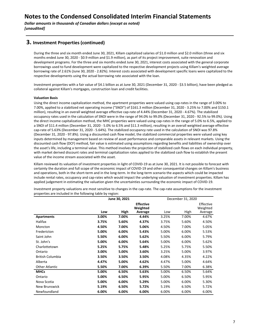### **3. Investment Properties (continued)**

During the three and six month ended June 30, 2021, Killam capitalized salaries of \$1.0 million and \$2.0 million (three and six months ended June 30, 2020 - \$0.9 million and \$1.9 million), as part of its project improvement, suite renovation and development programs. For the three and six months ended June 30, 2021, interest costs associated with the general corporate borrowings used to fund development were capitalized to the respective development projects using Killam's weighted average borrowing rate of 2.61% (June 30, 2020 - 2.82%). Interest costs associated with development specific loans were capitalized to the respective developments using the actual borrowing rate associated with the loan.

Investment properties with a fair value of \$4.1 billion as at June 30, 2021 (December 31, 2020 - \$3.5 billion), have been pledged as collateral against Killam's mortgages, construction loan and credit facilities.

#### **Valuation Basis**

Using the direct income capitalization method, the apartment properties were valued using cap-rates in the range of 3.00% to 7.00%, applied to a stabilized net operating income ("SNOI") of \$161.3 million (December 31, 2020 - 3.25% to 7.00% and \$150.1 million), resulting in an overall weighted average effective cap-rate of 4.44% (December 31, 2020 - 4.67%). The stabilized occupancy rates used in the calculation of SNOI were in the range of 94.0% to 99.0% (December 31, 2020 - 92.5% to 99.0%). Using the direct income capitalization method, the MHC properties were valued using cap-rates in the range of 5.0% to 6.5%, applied to a SNOI of \$11.4 million (December 31, 2020 - 5.0% to 6.5% and \$11.3 million), resulting in an overall weighted average effective cap-rate of 5.63% (December 31, 2020 - 5.64%). The stabilized occupancy rate used in the calculation of SNOI was 97.8% (December 31, 2020 - 97.8%). Using a discounted cash flow model, the stabilized commercial properties were valued using key inputs determined by management based on review of asset performance and comparable assets in relevant markets. Using the discounted cash flow (DCF) method, fair value is estimated using assumptions regarding benefits and liabilities of ownership over the asset's life, including a terminal value. This method involves the projection of stabilized cash flows on each individual property, with market derived discount rates and terminal capitalization rates applied to the stabilized cash flow to establish the present value of the income stream associated with the asset.

Killam reviewed its valuation of investment properties in light of COVID-19 as at June 30, 2021. It is not possible to forecast with certainty the duration and full scope of the economic impact of COVID-19 and other consequential changes on Killam's business and operations, both in the short-term and in the long-term. In the long-term scenario the aspects which could be impacted include rental rates, occupancy and cap-rates which would impact the underlying valuation of investment properties. Killam has applied judgement in estimating the valuation given the uncertainties surrounding the economic impact of COVID-19.

|                         |       | June 30, 2021 |                                         |       | December 31, 2020 |                                  |
|-------------------------|-------|---------------|-----------------------------------------|-------|-------------------|----------------------------------|
|                         | Low   | High          | <b>Effective</b><br>Weighted<br>Average | Low   | High              | Effective<br>Weighted<br>Average |
| <b>Apartments</b>       | 3.00% | 7.00%         | 4.44%                                   | 3.25% | 7.00%             | 4.67%                            |
| <b>Halifax</b>          | 3.75% | 5.60%         | 4.37%                                   | 3.75% | 5.60%             | 4.50%                            |
| Moncton                 | 4.50% | 7.00%         | 5.06%                                   | 4.50% | 7.00%             | 5.05%                            |
| Fredericton             | 5.00% | 6.00%         | 5.43%                                   | 5.00% | 6.00%             | 5.53%                            |
| Saint John              | 5.50% | 6.00%         | 5.62%                                   | 5.50% | 6.00%             | 5.79%                            |
| St. John's              | 5.00% | 6.00%         | 5.64%                                   | 5.00% | 6.00%             | 5.62%                            |
| Charlottetown           | 5.25% | 5.75%         | 5.48%                                   | 5.25% | 5.75%             | 5.50%                            |
| Ontario                 | 3.00% | 5.00%         | 3.60%                                   | 3.25% | 5.00%             | 3.97%                            |
| <b>British Columbia</b> | 3.50% | 3.50%         | 3.50%                                   | 4.08% | 4.35%             | 4.22%                            |
| Alberta                 | 4.47% | 5.00%         | 4.62%                                   | 4.47% | 5.00%             | 4.64%                            |
| <b>Other Atlantic</b>   | 5.50% | 7.00%         | 6.39%                                   | 5.50% | 7.00%             | 6.38%                            |
| <b>MHCs</b>             | 5.00% | 6.50%         | 5.63%                                   | 5.00% | 6.50%             | 5.64%                            |
| Ontario                 | 5.00% | 6.50%         | 5.95%                                   | 5.00% | 6.50%             | 5.95%                            |
| Nova Scotia             | 5.00% | 6.00%         | 5.29%                                   | 5.00% | 6.00%             | 5.30%                            |
| New Brunswick           | 5.19% | 6.50%         | 5.72%                                   | 5.19% | 6.50%             | 5.72%                            |
| Newfoundland            | 6.00% | 6.00%         | 6.00%                                   | 6.00% | 6.00%             | 6.00%                            |

Investment property valuations are most sensitive to changes in the cap-rate. The cap-rate assumptions for the investment properties are included in the following table by region: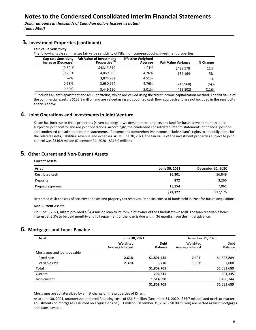**Dollar amounts in thousands of Canadian dollars (except as noted)** *[unaudited]*

| The following table summarizes fair value sensitivity of Killam's income-producing investment properties: |                                                              |                                      |                            |          |  |  |
|-----------------------------------------------------------------------------------------------------------|--------------------------------------------------------------|--------------------------------------|----------------------------|----------|--|--|
| <b>Cap-rate Sensitivity</b><br>Increase (Decrease)                                                        | <b>Fair Value of Investment</b><br>Properties <sup>(1)</sup> | <b>Effective Weighted</b><br>Average | <b>Fair Value Variance</b> | % Change |  |  |
| $(0.50)$ %                                                                                                | \$4,313,510                                                  | 4.01%                                | \$438,578                  | 11%      |  |  |
| $(0.25)$ %                                                                                                | 4,059,096                                                    | 4.26%                                | 184.164                    | 5%       |  |  |
| $-\%$                                                                                                     | 3,874,932                                                    | 4.51%                                |                            | $-\%$    |  |  |
| 0.25%                                                                                                     | 3,630,964                                                    | 4.76%                                | (243,968)                  | $(6)$ %  |  |  |
| 0.50%                                                                                                     | 3,449,130                                                    | 5.01%                                | (425, 802)                 | (11)%    |  |  |

### **3. Investment Properties (continued)**

**Fair Value Sensitivity**

 $<sup>(1)</sup>$  Includes Killam's apartment and MHC portfolios, which are valued using the direct income capitalization method. The fair value of</sup> the commercial assets is \$153.8 million and are valued using a discounted cash flow approach and are not included in the sensitivity analysis above.

### **4.** Joint Operations and Investments in Joint Venture

Killam has interests in three properties (seven buildings), two development projects and land for future development that are subject to joint control and are joint operations. Accordingly, the condensed consolidated interim statements of financial position and condensed consolidated interim statements of income and comprehensive income include Killam's rights to and obligations for the related assets, liabilities, revenue and expenses. As at June 30, 2021, the fair value of the investment properties subject to joint control was \$346.9 million (December 31, 2020 - \$316.0 million).

### **5. Other Current and Non-Current Assets**

### **Current Assets As at As at As at As at June 30, 2021** December 31, 2020 Restricted cash **\$6,849 \$6,849 \$6,849 \$6,849 \$6,849 \$6,849** Deposits  **872**  3,266 Prepaid expenses **15,154 15,154 15,154 15,154 15,154 15,154 15,154 1**,061 **\$22,327** \$17,176

Restricted cash consists of security deposits and property tax reserves. Deposits consist of funds held in trust for future acquisitions.

#### **Non-Current Assets**

On June 1, 2021, Killam provided a \$4.4 million loan to its 25% joint owner of the Charlottetown Mall. The loan receivable bears interest at 6.5% to be paid monthly and full repayment of the loan is due within 36 months from the initial advance.

### **6.** Mortgages and Loans Payable

| As at                       | June 30, 2021                       | December 31, 2020             |                              |                 |
|-----------------------------|-------------------------------------|-------------------------------|------------------------------|-----------------|
|                             | Weighted<br><b>Average Interest</b> | <b>Debt</b><br><b>Balance</b> | Weighted<br>Average Interest | Debt<br>Balance |
| Mortgages and loans payable |                                     |                               |                              |                 |
| Fixed rate                  | 2.61%                               | \$1,801,435                   | 2.69%                        | \$1,623,889     |
| Variable rate               | 2.37%                               | 8,270                         | 1.98%                        | 7,800           |
| <b>Total</b>                |                                     | \$1,809,705                   |                              | \$1,631,689     |
| Current                     |                                     | 294,815                       |                              | 201,345         |
| Non-current                 |                                     | 1,514,890                     |                              | 1,430,344       |
|                             |                                     | \$1,809,705                   |                              | \$1,631,689     |

Mortgages are collateralized by a first charge on the properties of Killam.

As at June 30, 2021, unamortized deferred financing costs of \$36.5 million (December 31, 2020 - \$36.7 million) and mark-to-market adjustments on mortgages assumed on acquisitions of \$0.1 million (December 31, 2020 - \$0.08 million) are netted against mortgages and loans payable.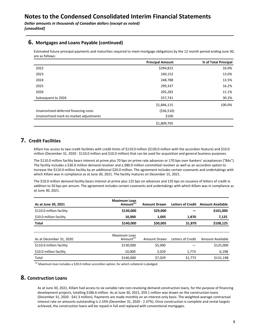### **6.** Mortgages and Loans Payable (continued)

Estimated future principal payments and maturities required to meet mortgage obligations by the 12 month period ending June 30, are as follows:

|                                        | <b>Principal Amount</b> | % of Total Principal |
|----------------------------------------|-------------------------|----------------------|
| 2022                                   | \$294,815               | 16.0%                |
| 2023                                   | 240,152                 | 13.0%                |
| 2024                                   | 248,788                 | 13.5%                |
| 2025                                   | 299,337                 | 16.2%                |
| 2026                                   | 205,282                 | 11.1%                |
| Subsequent to 2026                     | 557,741                 | 30.2%                |
|                                        | \$1,846,115             | 100.0%               |
| Unamortized deferred financing costs   | ( \$36,510)             |                      |
| Unamortized mark-to-market adjustments | \$100                   |                      |
|                                        | \$1,809,705             |                      |

### **7. Credit Facilities**

Killam has access to two credit facilities with credit limits of \$110.0 million (\$130.0 million with the accordion feature) and \$10.0 million (December 31, 2020 - \$110.0 million and \$10.0 million) that can be used for acquisition and general business purposes.

The \$110.0 million facility bears interest at prime plus 70 bps on prime rate advances or 170 bps over bankers' acceptances ("BAs"). The facility includes a \$30.0 million demand revolver and a \$80.0 million committed revolver as well as an accordion option to increase the \$110.0 million facility by an additional \$20.0 million. The agreement includes certain covenants and undertakings with which Killam was in compliance as at June 30, 2021. The facility matures on December 15, 2021.

The \$10.0 million demand facility bears interest at prime plus 125 bps on advances and 135 bps on issuance of letters of credit in addition to 50 bps per annum. The agreement includes certain covenants and undertakings with which Killam was in compliance as at June 30, 2021.

| As at June 30, 2021      | <b>Maximum Loan</b><br>Amount <sup>(1)</sup> | <b>Amount Drawn</b> | <b>Letters of Credit</b> | <b>Amount Available</b> |
|--------------------------|----------------------------------------------|---------------------|--------------------------|-------------------------|
| \$110.0 million facility | \$130,000                                    | \$29,000            |                          | \$101,000               |
| \$10.0 million facility  | 10.000                                       | 1,005               | 1,870                    | 7,125                   |
| Total                    | \$140,000                                    | \$30,005            | \$1,870                  | \$108,125               |
|                          |                                              |                     |                          |                         |
| As at December 31, 2020  | Maximum Loan<br>Amount <sup>(1)</sup>        | Amount Drawn        | Letters of Credit        | Amount Available        |
| \$110.0 million facility | \$130,000                                    | \$5,000             |                          | \$125,000               |
| \$10.0 million facility  | 10,000                                       | 2,029               | 1,773                    | 6,198                   |
| Total                    | \$140,000                                    | \$7,029             | \$1,773                  | \$131,198               |

 $<sup>(1)</sup>$  Maximum loan includes a \$20.0 million accordion option, for which collateral is pledged.</sup>

### **8. Construction Loans**

As at June 30, 2021, Killam had access to six variable rate non-revolving demand construction loans, for the purpose of financing development projects, totalling \$186.6 million. As at June 30, 2021, \$59.1 million was drawn on the construction loans (December 31, 2020 - \$41.3 million). Payments are made monthly on an interest-only basis. The weighted-average contractual interest rate on amounts outstanding is 2.33% (December 31, 2020 - 2.37%). Once construction is complete and rental targets achieved, the construction loans will be repaid in full and replaced with conventional mortgages.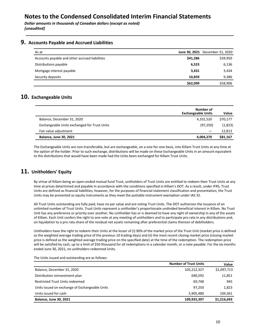**Dollar amounts in thousands of Canadian dollars (except as noted)** *[unaudited]*

### **9.** Accounts Payable and Accrued Liabilities

| As at                                          |          | June 30, 2021 December 31, 2020 |
|------------------------------------------------|----------|---------------------------------|
| Accounts payable and other accrued liabilities | \$41,286 | \$39,950                        |
| Distributions payable                          | 6,523    | 6,136                           |
| Mortgage interest payable                      | 3,431    | 3,434                           |
| Security deposits                              | 10,859   | 9,386                           |
|                                                | \$62,099 | \$58,906                        |

### **10.** Exchangeable Units

|                                              | Number of<br><b>Exchangeable Units</b> | Value    |
|----------------------------------------------|----------------------------------------|----------|
| Balance, December 31, 2020                   | 4,101,520                              | \$70,177 |
| Exchangeable Units exchanged for Trust Units | (97, 250)                              | (1,823)  |
| Fair value adjustment                        |                                        | 12,813   |
| <b>Balance, June 30, 2021</b>                | 4,004,270                              | \$81,167 |

The Exchangeable Units are non-transferable, but are exchangeable, on a one-for-one basis, into Killam Trust Units at any time at the option of the holder. Prior to such exchange, distributions will be made on these Exchangeable Units in an amount equivalent to the distributions that would have been made had the Units been exchanged for Killam Trust Units.

### 11. Unitholders' Equity

By virtue of Killam being an open-ended mutual fund Trust, unitholders of Trust Units are entitled to redeem their Trust Units at any time at prices determined and payable in accordance with the conditions specified in Killam's DOT. As a result, under IFRS, Trust Units are defined as financial liabilities; however, for the purposes of financial statement classification and presentation, the Trust Units may be presented as equity instruments as they meet the puttable instrument exemption under IAS 32.

All Trust Units outstanding are fully paid, have no par value and are voting Trust Units. The DOT authorizes the issuance of an unlimited number of Trust Units. Trust Units represent a unitholder's proportionate undivided beneficial interest in Killam. No Trust Unit has any preference or priority over another. No unitholder has or is deemed to have any right of ownership in any of the assets of Killam. Each Unit confers the right to one vote at any meeting of unitholders and to participate pro rata in any distributions and, on liquidation to a pro rata share of the residual net assets remaining after preferential claims thereon of debtholders.

Unitholders have the right to redeem their Units at the lesser of (i) 90% of the market price of the Trust Unit (market price is defined as the weighted average trading price of the previous 10 trading days) and (ii) the most recent closing market price (closing market price is defined as the weighted average trading price on the specified date) at the time of the redemption. The redemption price will be satisfied by cash, up to a limit of \$50 thousand for all redemptions in a calendar month, or a note payable. For the six months ended June 30, 2021, no unitholders redeemed Units.

|                                                | <b>Number of Trust Units</b> | Value       |
|------------------------------------------------|------------------------------|-------------|
| Balance, December 31, 2020                     | 103,212,327                  | \$1,097,713 |
| Distribution reinvestment plan                 | 640.592                      | 11,851      |
| <b>Restricted Trust Units redeemed</b>         | 69.748                       | 945         |
| Units issued on exchange of Exchangeable Units | 97.250                       | 1,823       |
| Units issued for cash                          | 5,905,480                    | 104,361     |
| <b>Balance, June 30, 2021</b>                  | 109,925,397                  | \$1,216,693 |

The Units issued and outstanding are as follows: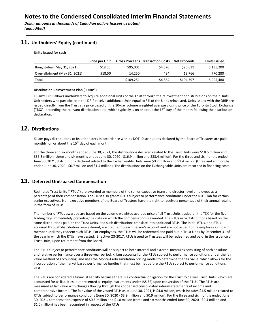### **11.** Unitholders' Equity (continued)

#### **Units issued for cash**

|                               | <b>Price per Unit</b> |           | <b>Gross Proceeds Transaction Costs</b> | <b>Net Proceeds</b> | <b>Units Issued</b> |
|-------------------------------|-----------------------|-----------|-----------------------------------------|---------------------|---------------------|
| Bought-deal (May 31, 2021)    | \$18.50               | \$95,001  | \$4,370                                 | \$90.631            | 5,135,200           |
| Over-allotment (May 31, 2021) | \$18.50               | 14.250    | 484                                     | 13.766              | 770,280             |
| Total                         |                       | \$109.251 | \$4.854                                 | \$104.397           | 5,905,480           |

#### **Distribution Reinvestment Plan ("DRIP")**

Killam's DRIP allows unitholders to acquire additional Units of the Trust through the reinvestment of distributions on their Units. Unitholders who participate in the DRIP receive additional Units equal to 3% of the Units reinvested. Units issued with the DRIP are issued directly from the Trust at a price based on the 10-day volume weighted average closing price of the Toronto Stock Exchange ("TSX") preceding the relevant distribution date, which typically is on or about the 15<sup>th</sup> day of the month following the distribution declaration.

### **12. Distributions**

Killam pays distributions to its unitholders in accordance with its DOT. Distributions declared by the Board of Trustees are paid monthly, on or about the  $15<sup>th</sup>$  day of each month.

For the three and six months ended June 30, 2021, the distributions declared related to the Trust Units were \$18.5 million and \$36.3 million (three and six months ended June 30, 2020 - \$16.9 million and \$33.4 million). For the three and six months ended June 30, 2021, distributions declared related to the Exchangeable Units were \$0.7 million and \$1.4 million (three and six months ended June 30, 2020 - \$0.7 million and \$1.4 million). The distributions on the Exchangeable Units are recorded in financing costs.

### **13. Deferred Unit-based Compensation**

Restricted Trust Units ("RTUs") are awarded to members of the senior executive team and director-level employees as a percentage of their compensation. The Trust also grants RTUs subject to performance conditions under the RTU Plan for certain senior executives. Non-executive members of the Board of Trustees have the right to receive a percentage of their annual retainer in the form of RTUs.

The number of RTUs awarded are based on the volume weighted average price of all Trust Units traded on the TSX for the five trading days immediately preceding the date on which the compensation is awarded. The RTUs earn distributions based on the same distributions paid on the Trust Units, and such distributions translate into additional RTUs. The initial RTUs, and RTUs acquired through distribution reinvestment, are credited to each person's account and are not issued to the employee or Board member until they redeem such RTUs. For employees, the RTUs will be redeemed and paid out in Trust Units by December 31 of the year in which the RTUs have vested. Effective Q3-2017, RTUs issued to Trustees will be redeemed and paid, in the issuance of Trust Units, upon retirement from the Board.

The RTUs subject to performance conditions will be subject to both internal and external measures consisting of both absolute and relative performance over a three-year period. Killam accounts for the RTUs subject to performance conditions under the fair value method of accounting, and uses the Monte-Carlo simulation pricing model to determine the fair value, which allows for the incorporation of the market based performance hurdles that must be met before the RTUs subject to performance conditions vest. 

The RTUs are considered a financial liability because there is a contractual obligation for the Trust to deliver Trust Units (which are accounted for as liabilities, but presented as equity instruments under IAS 32) upon conversion of the RTUs. The RTUs are measured at fair value with changes flowing through the condensed consolidated interim statements of income and comprehensive income. The fair value of the vested RTUs as at June 30, 2021, is \$4.0 million, which includes \$1.5 million related to RTUs subject to performance conditions (June 30, 2020 - \$3.9 million and \$0.9 million). For the three and six months ended June 30, 2021, compensation expense of \$0.5 million and \$1.0 million (three and six months ended June 30, 2020 - \$0.4 million and \$1.0 million) has been recognized in respect of the RTUs.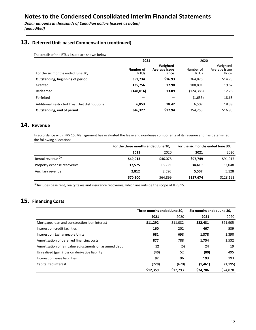**Dollar amounts in thousands of Canadian dollars (except as noted)** *[unaudited]*

## 13. Deferred Unit-based Compensation (continued)

The details of the RTUs issued are shown below:

|                                                | 2021                     |                                           | 2020                     |                                    |
|------------------------------------------------|--------------------------|-------------------------------------------|--------------------------|------------------------------------|
| For the six months ended June 30,              | Number of<br><b>RTUs</b> | Weighted<br><b>Average Issue</b><br>Price | Number of<br><b>RTUs</b> | Weighted<br>Average Issue<br>Price |
| Outstanding, beginning of period               | 351,734                  | \$16.93                                   | 364,875                  | \$14.73                            |
| Granted                                        | 135,756                  | 17.90                                     | 108.891                  | 19.62                              |
| Redeemed                                       | (148,016)                | 13.09                                     | (124,385)                | 12.78                              |
| Forfeited                                      |                          |                                           | (1,635)                  | 18.68                              |
| Additional Restricted Trust Unit distributions | 6,853                    | 18.42                                     | 6,507                    | 18.38                              |
| Outstanding, end of period                     | 346,327                  | \$17.94                                   | 354,253                  | \$16.95                            |

## **14. Revenue**

In accordance with IFRS 15, Management has evaluated the lease and non-lease components of its revenue and has determined the following allocation:

|                               |          | For the three months ended June 30, |           | For the six months ended June 30, |
|-------------------------------|----------|-------------------------------------|-----------|-----------------------------------|
|                               | 2021     | 2020                                | 2021      | 2020                              |
| Rental revenue <sup>(1)</sup> | \$49,913 | \$46,078                            | \$97,749  | \$91,017                          |
| Property expense recoveries   | 17.575   | 16,225                              | 34,419    | 32,048                            |
| Ancillary revenue             | 2,812    | 2.596                               | 5,507     | 5,128                             |
|                               | \$70,300 | \$64,899                            | \$137,674 | \$128,193                         |

 $<sup>(1)</sup>$  Includes base rent, realty taxes and insurance recoveries, which are outside the scope of IFRS 15.</sup>

## 15. Financing Costs

|                                                        |          | Three months ended June 30, |          | Six months ended June 30, |
|--------------------------------------------------------|----------|-----------------------------|----------|---------------------------|
|                                                        | 2021     | 2020                        | 2021     | 2020                      |
| Mortgage, loan and construction loan interest          | \$11,292 | \$11,082                    | \$22,431 | \$21,905                  |
| Interest on credit facilities                          | 160      | 202                         | 467      | 539                       |
| Interest on Exchangeable Units                         | 681      | 698                         | 1,378    | 1,390                     |
| Amortization of deferred financing costs               | 877      | 788                         | 1,754    | 1,532                     |
| Amortization of fair value adjustments on assumed debt | 12       | (5)                         | 24       | 19                        |
| Unrealized (gain) loss on derivative liability         | (40)     | 52                          | (80)     | 495                       |
| Interest on lease liabilities                          | 97       | 96                          | 193      | 193                       |
| Capitalized interest                                   | (720)    | (620)                       | (1,461)  | (1, 195)                  |
|                                                        | \$12,359 | \$12.293                    | \$24,706 | \$24,878                  |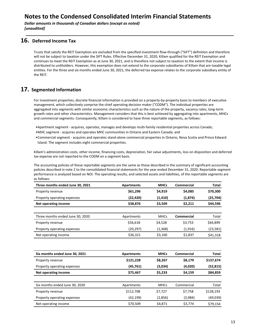**Dollar amounts in thousands of Canadian dollars (except as noted)** *[unaudited]*

### **16. Deferred Income Tax**

Trusts that satisfy the REIT Exemption are excluded from the specified investment flow-through ("SIFT") definition and therefore will not be subject to taxation under the SIFT Rules. Effective December 31, 2020, Killam qualified for the REIT Exemption and continues to meet the REIT Exemption as at June 30, 2021, and is therefore not subject to taxation to the extent that income is distributed to unitholders. However, this exemption does not extend to the corporate subsidiaries of Killam that are taxable legal entities. For the three and six months ended June 30, 2021, the deferred tax expense relates to the corporate subsidiary entity of the RFIT.

### **17.** Segmented Information

For investment properties, discrete financial information is provided on a property-by-property basis to members of executive management, which collectively comprise the chief operating decision maker ("CODM"). The individual properties are aggregated into segments with similar economic characteristics such as the nature of the property, vacancy rates, long-term growth rates and other characteristics. Management considers that this is best achieved by aggregating into apartments, MHCs and commercial segments. Consequently, Killam is considered to have three reportable segments, as follows:

- •Apartment segment acquires, operates, manages and develops multi-family residential properties across Canada;
- MHC segment acquires and operates MHC communities in Ontario and Eastern Canada; and
- •Commercial segment acquires and operates stand-alone commercial properties in Ontario, Nova Scotia and Prince Edward Island. The segment includes eight commercial properties.

Killam's administration costs, other income, financing costs, depreciation, fair value adjustments, loss on disposition and deferred tax expense are not reported to the CODM on a segment basis.

The accounting policies of these reportable segments are the same as those described in the summary of significant accounting policies described in note 2 to the consolidated financial statements for the year ended December 31, 2020. Reportable segment performance is analyzed based on NOI. The operating results, and selected assets and liabilities, of the reportable segments are as follows:

| Three months ended June 30, 2021 | Apartments | <b>MHCs</b> | Commercial | <b>Total</b> |
|----------------------------------|------------|-------------|------------|--------------|
| Property revenue                 | \$61,296   | \$4,919     | \$4,085    | \$70,300     |
| Property operating expenses      | (22,420)   | (1, 410)    | (1,874)    | (25, 704)    |
| Net operating income             | \$38,876   | \$3,509     | \$2,211    | \$44,596     |
|                                  |            |             |            |              |
| Three months ended June 30, 2020 | Apartments | <b>MHCs</b> | Commercial | Total        |
| Property revenue                 | \$56,618   | \$4,528     | \$3,753    | \$64,899     |
| Property operating expenses      | (20,297)   | (1, 368)    | (1, 916)   | (23, 581)    |
| Net operating income             | \$36,321   | \$3,160     | \$1,837    | \$41,318     |

| Six months ended June 30, 2021 | Apartments | <b>MHCs</b> | Commercial | <b>Total</b> |
|--------------------------------|------------|-------------|------------|--------------|
| Property revenue               | \$121,228  | \$8,267     | \$8,179    | \$137,674    |
| Property operating expenses    | (45, 761)  | (3,034)     | (4,020)    | (52, 815)    |
| Net operating income           | \$75,467   | \$5,233     | \$4,159    | \$84,859     |
|                                |            |             |            |              |
| Six months ended June 30, 2020 | Apartments | <b>MHCs</b> | Commercial | Total        |
| Property revenue               | \$112,708  | \$7,727     | \$7,758    | \$128,193    |
| Property operating expenses    | (42, 199)  | (2,856)     | (3,984)    | (49,039)     |
| Net operating income           | \$70,509   | \$4,871     | \$3,774    | \$79,154     |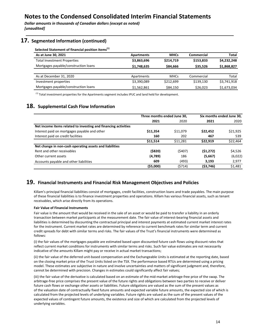**Dollar amounts in thousands of Canadian dollars (except as noted)** *[unaudited]*

### **17.** Segmented Information (continued)

Selected Statement of financial position items<sup>(1)</sup>

| As at June 30, 2021                  | <b>Apartments</b> | <b>MHCs</b> | Commercial | Total       |
|--------------------------------------|-------------------|-------------|------------|-------------|
| <b>Total Investment Properties</b>   | \$3,863,696       | \$214.719   | \$153.833  | \$4,232,248 |
| Mortgages payable/construction loans | \$1.748.635       | \$84,666    | \$35.526   | \$1,868,827 |
|                                      |                   |             |            |             |
| As at December 31, 2020              | Apartments        | <b>MHCs</b> | Commercial | Total       |
| Investment properties                | \$3,390,089       | \$212.699   | \$139,130  | \$3,741,918 |
| Mortgages payable/construction loans | \$1.562.861       | \$84,150    | \$26,023   | \$1,673,034 |

 $<sup>(1)</sup>$  Total investment properties for the Apartments segment includes IPUC and land held for development.</sup>

### **18. Supplemental Cash Flow Information**

|                                                                |          | Three months ended June 30, |            | Six months ended June 30, |
|----------------------------------------------------------------|----------|-----------------------------|------------|---------------------------|
|                                                                | 2021     | 2020                        | 2021       | 2020                      |
| Net income items related to investing and financing activities |          |                             |            |                           |
| Interest paid on mortgages payable and other                   | \$11,354 | \$11,079                    | \$22,452   | \$21,925                  |
| Interest paid on credit facilities                             | 160      | 202                         | 467        | 539                       |
|                                                                | \$11.514 | \$11,281                    | \$22,919   | \$22,464                  |
| Net change in non-cash operating assets and liabilities        |          |                             |            |                           |
| Rent and other receivables                                     | ( \$820) | (\$407)                     | (51, 272)  | \$4,526                   |
| Other current assets                                           | (4,789)  | 186                         | (5,667)    | (6,022)                   |
| Accounts payable and other liabilities                         | 609      | (493)                       | 3,193      | 2,977                     |
|                                                                | (55,000) | (\$714)                     | ( \$3,746) | \$1,481                   |

### **19.** Financial Instruments and Financial Risk Management Objectives and Policies

Killam's principal financial liabilities consist of mortgages, credit facilities, construction loans and trade payables. The main purpose of these financial liabilities is to finance investment properties and operations. Killam has various financial assets, such as tenant receivables, which arise directly from its operations.

#### **Fair Value of Financial Instruments**

Fair value is the amount that would be received in the sale of an asset or would be paid to transfer a liability in an orderly transaction between market participants at the measurement date. The fair value of interest-bearing financial assets and liabilities is determined by discounting the contractual principal and interest payments at estimated current market interest rates for the instrument. Current market rates are determined by reference to current benchmark rates for similar term and current credit spreads for debt with similar terms and risks. The fair values of the Trust's financial instruments were determined as follows:

(i) the fair values of the mortgages payable are estimated based upon discounted future cash flows using discount rates that reflect current market conditions for instruments with similar terms and risks. Such fair value estimates are not necessarily indicative of the amounts Killam might pay or receive in actual market transactions;

(ii) the fair value of the deferred unit-based compensation and the Exchangeable Units is estimated at the reporting date, based on the closing market price of the Trust Units listed on the TSX. The performance based RTUs are determined using a pricing model. These estimates are subjective in nature and involve uncertainties and matters of significant judgment and, therefore, cannot be determined with precision. Changes in estimates could significantly affect fair values;

(iii) the fair value of the derivative is calculated based on an estimate of the mid-market arbitrage-free price of the swap. The arbitrage-free price comprises the present value of the future rights and obligations between two parties to receive or deliver future cash flows or exchange other assets or liabilities. Future obligations are valued as the sum of the present values as of the valuation date of contractually fixed future amounts and expected variable future amounts, the expected size of which is calculated from the projected levels of underlying variables. Future rights are valued as the sum of the present values of the expected values of contingent future amounts, the existence and size of which are calculated from the projected levels of underlying variables.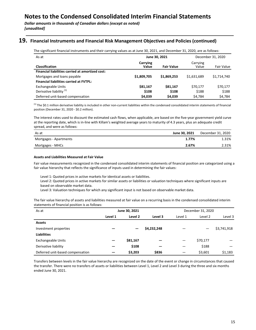### 19. Financial Instruments and Financial Risk Management Objectives and Policies (continued)

The significant financial instruments and their carrying values as at June 30, 2021, and December 31, 2020, are as follows:

| As at                                            | June 30, 2021     |                   | December 31, 2020 |             |
|--------------------------------------------------|-------------------|-------------------|-------------------|-------------|
| <b>Classification</b>                            | Carrying<br>Value | <b>Fair Value</b> | Carrying<br>Value | Fair Value  |
| Financial liabilities carried at amortized cost: |                   |                   |                   |             |
| Mortgages and loans payable                      | \$1,809,705       | \$1,869,253       | \$1,631,689       | \$1,714,740 |
| Financial liabilities carried at FVTPL:          |                   |                   |                   |             |
| <b>Exchangeable Units</b>                        | \$81.167          | \$81.167          | \$70,177          | \$70,177    |
| Derivative liability <sup>(1)</sup>              | \$108             | \$108             | \$188             | \$188       |
| Deferred unit-based compensation                 | \$4,039           | \$4,039           | \$4,784           | \$4,784     |

 $^{(1)}$  The \$0.1 million derivative liability is included in other non-current liabilities within the condensed consolidated interim statements of financial position (December 31, 2020 - \$0.2 million).

The interest rates used to discount the estimated cash flows, when applicable, are based on the five-year government yield curve at the reporting date, which is in-line with Killam's weighted average years to maturity of 4.3 years, plus an adequate credit spread, and were as follows:

| As at                  | June 30, 2021 | December 31, 2020 |
|------------------------|---------------|-------------------|
| Mortgages - Apartments | 1.77%         | 1.31%             |
| Mortgages - MHCs       | 2.67%         | 2.31%             |

#### **Assets and Liabilities Measured at Fair Value**

Fair value measurements recognized in the condensed consolidated interim statements of financial position are categorized using a fair value hierarchy that reflects the significance of inputs used in determining the fair values:

Level 1: Quoted prices in active markets for identical assets or liabilities.

Level 2: Quoted prices in active markets for similar assets or liabilities or valuation techniques where significant inputs are based on observable market data.

Level 3: Valuation techniques for which any significant input is not based on observable market data.

The fair value hierarchy of assets and liabilities measured at fair value on a recurring basis in the condensed consolidated interim statements of financial position is as follows:

| As at                            |         | June 30, 2021 |             |         | December 31, 2020 |             |
|----------------------------------|---------|---------------|-------------|---------|-------------------|-------------|
|                                  | Level 1 | Level 2       | Level 3     | Level 1 | Level 2           | Level 3     |
| <b>Assets</b>                    |         |               |             |         |                   |             |
| Investment properties            |         |               | \$4,232,248 |         |                   | \$3,741,918 |
| <b>Liabilities</b>               |         |               |             |         |                   |             |
| Exchangeable Units               | –       | \$81,167      |             | —       | \$70,177          |             |
| Derivative liability             |         | \$108         |             |         | \$188             |             |
| Deferred unit-based compensation |         | \$3,203       | \$836       |         | \$3,601           | \$1,183     |

Transfers between levels in the fair value hierarchy are recognized on the date of the event or change in circumstances that caused the transfer. There were no transfers of assets or liabilities between Level 1, Level 2 and Level 3 during the three and six months ended June 30, 2021.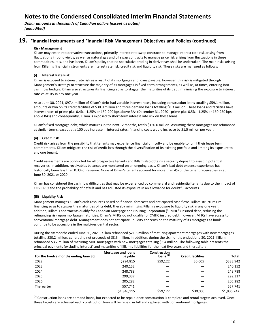**Dollar amounts in thousands of Canadian dollars (except as noted)** *[unaudited]*

### **19.** Financial Instruments and Financial Risk Management Objectives and Policies (continued)

#### **Risk Management**

Killam may enter into derivative transactions, primarily interest rate swap contracts to manage interest rate risk arising from fluctuations in bond yields, as well as natural gas and oil swap contracts to manage price risk arising from fluctuations in these commodities. It is, and has been, Killam's policy that no speculative trading in derivatives shall be undertaken. The main risks arising from Killam's financial instruments are interest rate risk, credit risk and liquidity risk. These risks are managed as follows:

### **(i) Interest Rate Risk**

Killam is exposed to interest rate risk as a result of its mortgages and loans payable; however, this risk is mitigated through Management's strategy to structure the majority of its mortgages in fixed-term arrangements, as well as, at times, entering into cash flow hedges. Killam also structures its financings so as to stagger the maturities of its debt, minimizing the exposure to interest rate volatility in any one year.

As at June 30, 2021, \$97.4 million of Killam's debt had variable interest rates, including construction loans totalling \$59.1 million, amounts drawn on its credit facilities of \$30.0 million and three demand loans totalling \$8.3 million. These loans and facilities have interest rates of prime plus 0.4% - 1.25% or 150-200 bps above BAs (December 31, 2020 - prime plus 0.5% - 1.25% or 160-250 bps above BAs) and consequently, Killam is exposed to short-term interest rate risk on these loans.

Killam's fixed mortgage debt, which matures in the next 12 months, totals \$150.6 million. Assuming these mortgages are refinanced at similar terms, except at a 100 bps increase in interest rates, financing costs would increase by \$1.5 million per year.

### **(ii) Credit Risk**

Credit risk arises from the possibility that tenants may experience financial difficulty and be unable to fulfill their lease term commitments. Killam mitigates the risk of credit loss through the diversification of its existing portfolio and limiting its exposure to any one tenant.

Credit assessments are conducted for all prospective tenants and Killam also obtains a security deposit to assist in potential recoveries. In addition, receivables balances are monitored on an ongoing basis. Killam's bad debt expense experience has historically been less than 0.3% of revenue. None of Killam's tenants account for more than 4% of the tenant receivables as at June 30, 2021 or 2020.

Killam has considered the cash flow difficulties that may be experienced by commercial and residential tenants due to the impact of COVID-19 and the probability of default and has adjusted its exposure in an allowance for doubtful accounts.

### **(iii) Liquidity Risk**

Management manages Killam's cash resources based on financial forecasts and anticipated cash flows. Killam structures its financing so as to stagger the maturities of its debt, thereby minimizing Killam's exposure to liquidity risk in any one year. In addition, Killam's apartments qualify for Canadian Mortgage and Housing Corporation ("CMHC") insured debt, reducing the refinancing risk upon mortgage maturities. Killam's MHCs do not qualify for CMHC insured debt; however, MHCs have access to conventional mortgage debt. Management does not anticipate liquidity concerns on the maturity of its mortgages as funds continue to be accessible in the multi-residential sector.

During the six months ended June 30, 2021, Killam refinanced \$21.8 million of maturing apartment mortgages with new mortgages totalling \$30.2 million, generating net proceeds of \$8.5 million. In addition, during the six months ended June 30, 2021, Killam refinanced \$3.2 million of maturing MHC mortgages with new mortgages totalling \$5.4 million. The following table presents the principal payments (excluding interest) and maturities of Killam's liabilities for the next five years and thereafter:

| For the twelve months ending June 30, | Mortgage and loans<br>payable | <b>Construction</b><br>Ioans <sup>(1)</sup> | <b>Credit facilities</b> | Total       |
|---------------------------------------|-------------------------------|---------------------------------------------|--------------------------|-------------|
| 2022                                  | \$294,815                     | \$59,122                                    | 30,005                   | \$383,942   |
| 2023                                  | 240,152                       |                                             |                          | 240,152     |
| 2024                                  | 248,788                       |                                             |                          | 248,788     |
| 2025                                  | 299,337                       |                                             |                          | 299,337     |
| 2026                                  | 205,282                       |                                             |                          | 205,282     |
| Thereafter                            | 557.741                       |                                             |                          | 557,741     |
|                                       | \$1,846,115                   | \$59,122                                    | \$30,005                 | \$1,935,242 |

 $<sup>(1)</sup>$  Construction loans are demand loans, but expected to be repaid once construction is complete and rental targets achieved. Once</sup> these targets are achieved each construction loan will be repaid in full and replaced with conventional mortgages.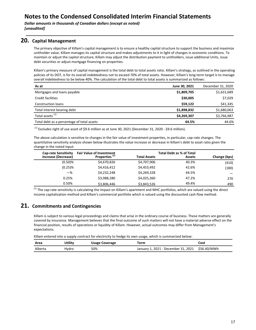### **20. Capital Management**

The primary objective of Killam's capital management is to ensure a healthy capital structure to support the business and maximize unitholder value. Killam manages its capital structure and makes adjustments to it in light of changes in economic conditions. To maintain or adjust the capital structure, Killam may adjust the distribution payment to unitholders, issue additional Units, issue debt securities or adjust mortgage financing on properties.

Killam's primary measure of capital management is the total debt to total assets ratio. Killam's strategy, as outlined in the operating policies of its DOT, is for its overall indebtedness not to exceed 70% of total assets. However, Killam's long-term target is to manage overall indebtedness to be below 40%. The calculation of the total debt to total assets is summarized as follows:

| As at                                      | June 30, 2021 | December 31, 2020 |
|--------------------------------------------|---------------|-------------------|
| Mortgages and loans payable                | \$1,809,705   | \$1,631,689       |
| Credit facilities                          | \$30,005      | \$7,029           |
| Construction loans                         | \$59,122      | \$41,345          |
| Total interest bearing debt                | \$1,898,832   | \$1,680,063       |
| Total assets <sup>(1)</sup>                | \$4,269,307   | \$3,766,987       |
| Total debt as a percentage of total assets | 44.5%         | 44.6%             |

 $^{(1)}$  Excludes right of use asset of \$9.6 million as at June 30, 2021 (December 31, 2020 - \$9.6 million).

The above calculation is sensitive to changes in the fair value of investment properties, in particular, cap-rate changes. The quantitative sensitivity analysis shown below illustrates the value increase or decrease in Killam's debt to asset ratio given the change in the noted input:

| <b>Cap-rate Sensitivity</b> | <b>Fair Value of Investment</b> |                     |               |              |
|-----------------------------|---------------------------------|---------------------|---------------|--------------|
| Increase (Decrease)         | Properties <sup>(1)</sup>       | <b>Total Assets</b> | <b>Assets</b> | Change (bps) |
| $(0.50)$ %                  | \$4,670,826                     | \$4,707,906         | 40.3%         | (410)        |
| $(0.25)$ %                  | \$4,416,412                     | \$4,453,492         | 42.6%         | (180)        |
| $-\%$                       | \$4,232,248                     | \$4,269,328         | 44.5%         |              |
| 0.25%                       | \$3,988,280                     | \$4,025,360         | 47.2%         | 270          |
| 0.50%                       | \$3,806,446                     | \$3,843,526         | 49.4%         | 490          |

 $<sup>(1)</sup>$  The cap-rate sensitivity is calculating the impact on Killam's apartment and MHC portfolios, which are valued using the direct</sup> income capitalization method and Killam's commercial portfolio which is valued using the discounted cash flow method.

### **21. Commitments and Contingencies**

Killam is subject to various legal proceedings and claims that arise in the ordinary course of business. These matters are generally covered by insurance. Management believes that the final outcome of such matters will not have a material adverse effect on the financial position, results of operations or liquidity of Killam. However, actual outcomes may differ from Management's expectations.

Killam entered into a supply contract for electricity to hedge its own usage, which is summarized below:

| Area    | Jtility | <b>Usage Coverage</b> | Term                                            | Cost |
|---------|---------|-----------------------|-------------------------------------------------|------|
| Alberta | Hydro   | 50%                   | January 1, 2021 - December 31, 2021 \$56.40/MWh |      |